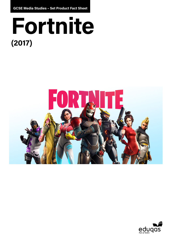**GCSE Media Studies – Set Product Fact Sheet**

# **Fortnite (2017)**



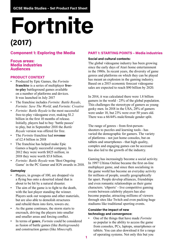## **Fortnite (2017)**

### **Component 1: Exploring the Media**

#### **Focus areas: Media industries Audiences**

#### **PRODUCT CONTEXT**

- Produced by Epic Games, the *Fortnite*  **franchise** is a series of multiplayer **freeto-play** battleground games available on a number of platforms and devices. It was launched in July 2017
- The franchise includes *Fortnite: Battle Royale*, *Fortnite: Save The World,* and *Fortnite: Creative*
- *• Fortnite: Battle Royale* is the most successful free-to-play videogame ever, making \$1.2 billion in the first 10 months of release. Initially, players had to buy 'battle passes' to play, but in September 2018 the *Battle Royale* version was offered for free.
- The *Fortnite* franchise had **revenue**  of £2.4 billion in 2018
- The franchise has helped make Epic Games a hugely successful company. In 2012 they were worth \$825 million; in 2018 they were worth \$5.8 billion.
- *• Fortnite: Battle Royale* won 'Best Ongoing Game' in the PC Gamer and IGN awards in 2018.

#### **Gameplay**

- Players, in groups of 100, are dropped via a flying bus onto a deserted island that is about to be hit by a natural disaster.
- The aim of the game is to fight to the death, with the last player standing the winner. Players seek out weapons and other materials, but are also able to demolish structures and rebuild them into forts, towers etc.
- As the game continues, the storm starts to encroach, driving the players into smaller and smaller areas and forcing conflict.
- In terms of **genre**, *Fortnite* could be considered as fusion of battle games (like *Battlegrounds*) and construction games (like *Minecraft*).

#### **PART 1: STARTING POINTS – Media industries**

#### **Social and cultural contexts:**

The global videogame industry has been growing since the early days of Atari home entertainment in the 1980s. In recent years, the diversity of game genres and platforms on which they can be played has meant an explosion in the gaming industry. Based on a 2015 economic forecast videogame sales are expected to reach \$90 billion by 2020.

In 2014, it was calculated there were 1.8 billion gamers in the world - 25% of the global population. This challenges the stereotype of gamers as young geeky men. In 2018 in the USA, 28% of gamers were under 18, but 23% were over 50 years old. There was a 66/44% male/female gender split.

The range of genres - from first-personshooters to puzzles and learning tools - has varied the demographic for gamers. The variety of platforms - not just home consoles, but on tablets and smartphones - that high quality, complex and engaging games can be accessed has also led to the growth of the industry.

Gaming has increasingly become a social activity. In 1997 Ultima Online became the first on-line multiplayer game, and since then socialising in the game world has become an everyday activity for millions of people, usually geographically far apart. People develop alliances, friendships and even romantic relationships as their game characters. 'eSports' - live competitive gaming events between celebrity players has also become popular, attracting millions of viewers through sites like Twitch and even packing huge stadiums like traditional sporting events.

#### **Consider the impact of new technology and convergence:**

• One of the things that have made *Fortnite* so popular is the ability to access the game from consoles, PCs, laptops, smartphones or tablets. You can also download it for a range of operating systems. Not only this but you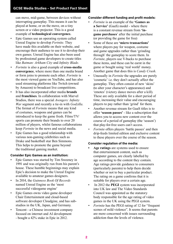can move, mid-game, between devices without interrupting gameplay. This means it can be played at home, or on the move, on a tiny screen or a video projector. This is a good example of **technological convergence.**

- Epic Games use an operating system called Unreal Engine to develop *Fortnite*. They have made this available on their website, and encourage their audience to use it to develop their own games. Unreal Engine has also been used by professional game developers to create titles like *Batman: Arkham City* and *Infinity Blade*.
- *• Fortnite* is also a good example of **cross-media convergence**, where more than one media brand or form joins to promote each other. *Fortnite* is the most viewed game on YouTube, and has also used streaming platforms like Twitch (owned by Amazon) to broadcast live competitions.
- It has also incorporated other media **brands** and **franchises**. In collaboration with Marvel Studios, there was a special *Avengers: Infinity War* segment and recently a tie-in with *Godzilla*. The format of *Fortnite* means that any kind of costumes, weapons and games can be introduced to keep the game fresh. Films/TV/ sports can promote their brands to over 20 million of players, whilst famous collaborations keep *Fortnite* in the news and social media.
- Epic Games has a good relationship with various non-gaming celebrities such as Drake and basketball star Ben Simmons. This helps to promote the game beyond the traditional gaming market.

#### **Consider Epic Games as an institution:**

- Epic Games was started by Tim Sweeney in 1991 and was originally run from his parent's house. These humble beginnings may explain Epic's decision to make the Unreal Engine available to amateur games designers.
- In 2014, the *Guinness Book Of Records* named Unreal Engine as the 'most successful videogame engine'
- Epic Games owns video game developer Chair Entertainment and cloud-based software developer Cloudgine, and has substudios in the UK, Japan, and Germany.
- Tencent a Chinese investment company focused on internet and AI development - bought a 42% stake in Epic in 2012.

#### **Consider different funding and profit models:**

- *• Fortnite* is an example of the **'Games as a Service'** (GaaS) model - where there is a constant revenue stream from **'ingame purchases**' after the initial purchase (or providing the game for free)
- Some of these are **'micro transactions'**  where players pay for weapon, costume and game upgrades rather than 'grinding through' the gameplay to score them. In *Fortnite*, players use V-bucks to purchase these items, and these can be earnt in the game or bought using 'real world' money. Another game that does this is *Candy Crush*.
- Unusually in *Fortnite* the upgrades are purely 'cosmetic' i.e. they don't actually affect the gameplay. They often consist of new 'skins' (to alter your character's appearance) and 'emotes' (victory dance moves after a kill). These are only available for a short period of time, increasing their value and encouraging players to pay rather than 'grind' for them.
- Another revenue stream for GaaS titles is to offer **'season passes'** - like a subscription that allows you to access new content over the course of a period of gameplay (the 'season') that play-for-free users can't access.
- *• Fortnite* offers players 'battle passes' and then drip-feeds limited edition and exclusive content to these players over the course of the season.

#### **Consider regulation of the media:**

- **• Age ratings** are systems used to ensure that entertainment content, such as computer games, are clearly labelled by age according to the content they contain. Age ratings provide guidance to consumers (particularly parents) to help them decide whether or not to buy a particular product. The rating on a game confirms that it is suitable for players over a certain age.
- In 2012 the **PEGI** system was incorporated into UK law and The Video Standards Council was appointed as the statutory body responsible for the age rating of video games in the UK using the PEGI system.
- *Fortnite* has the PEGI rating of 12 for "frequent" scenes of mild violence". It seems that parents are more concerned with issues surrounding addiction than the levels of violence.